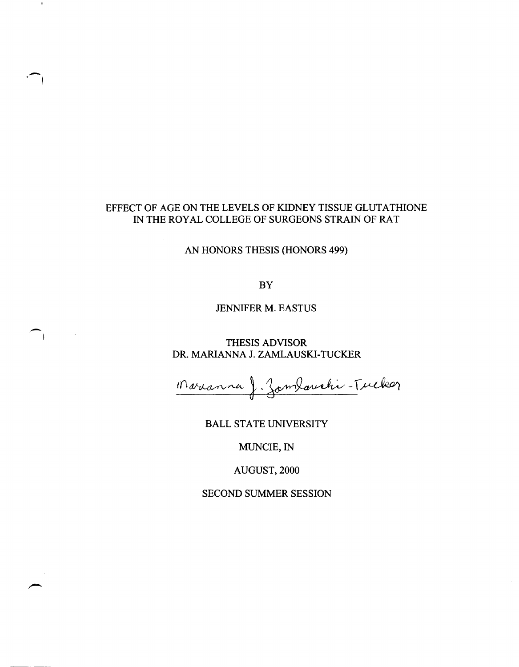# EFFECT OF AGE ON THE LEVELS OF KIDNEY TISSUE GLUTATHIONE IN THE ROYAL COLLEGE OF SURGEONS STRAIN OF RAT

-,

 $\blacksquare$ 

 $\overline{\phantom{a}}$ 

AN HONORS THESIS (HONORS 499)

BY

JENNIFER M. EASTUS

THESIS ADVISOR DR. MARIANNA J. ZAMLAUSKI-TUCKER

Marianna J. Zamlauchi-Tucker

BALL STATE UNIVERSITY

MUNCIE,IN

AUGUST,2000

SECOND SUMMER SESSION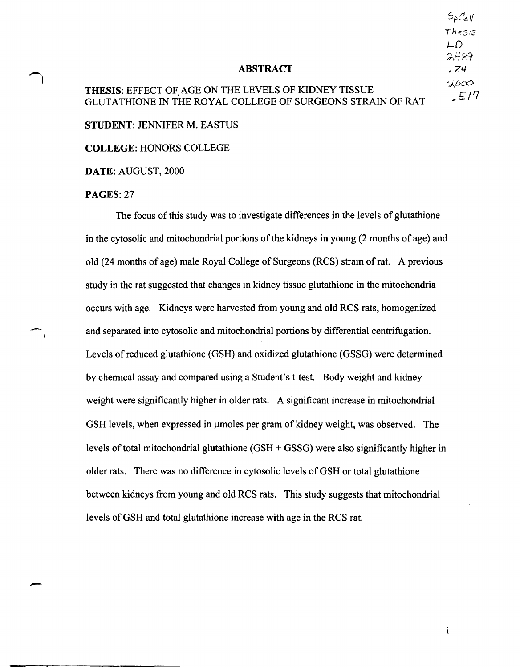$5pC_0$ Thesis LD  $2489.$ ,24  $2000$  $E/7$ 

 $\mathbf i$ 

#### ABSTRACT

# THESIS: EFFECT OF AGE ON THE LEVELS OF KIDNEY TISSUE GLUTATHIONE IN THE ROYAL COLLEGE OF SURGEONS STRAIN OF RAT

STUDENT: JENNIFER M. EASTUS

COLLEGE: HONORS COLLEGE

DATE: AUGUST, 2000

#### PAGES: 27

 $\overline{\phantom{a}}$ 

ो

-

The focus of this study was to investigate differences in the levels of glutathione in the cytosolic and mitochondrial portions of the kidneys in young (2 months of age) and old (24 months of age) male Royal College of Surgeons (RCS) strain of rat. A previous study in the rat suggested that changes in kidney tissue glutathione in the mitochondria occurs with age. Kidneys were harvested from young and old RCS rats, homogenized and separated into cytosolic and mitochondrial portions by differential centrifugation. Levels of reduced glutathione (GSH) and oxidized glutathione (GSSG) were determined by chemical assay and compared using a Student's t-test. Body weight and kidney weight were significantly higher in older rats. A significant increase in mitochondrial GSH levels, when expressed in µmoles per gram of kidney weight, was observed. The levels of total mitochondrial glutathione (GSH + GSSG) were also significantly higher in older rats. There was no difference in cytosolic levels of GSH or total glutathione between kidneys from young and old RCS rats. This study suggests that mitochondrial levels of GSH and total glutathione increase with age in the RCS rat.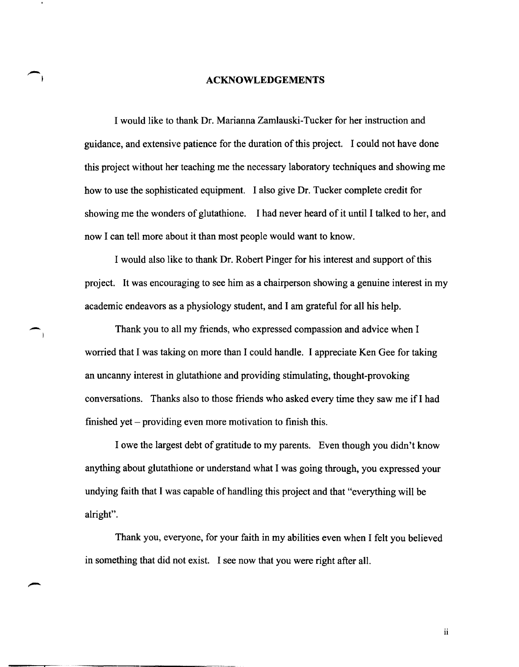#### **ACKNOWLEDGEMENTS**

I would like to thank Dr. Marianna Zamlauski-Tucker for her instruction and guidance, and extensive patience for the duration of this project. I could not have done this project without her teaching me the necessary laboratory techniques and showing me how to use the sophisticated equipment. I also give Dr. Tucker complete credit for showing me the wonders of glutathione. I had never heard of it until I talked to her, and now I can tell more about it than most people would want to know.

I would also like to thank Dr. Robert Pinger for his interest and support of this project. It was encouraging to see him as a chairperson showing a genuine interest in my academic endeavors as a physiology student, and I am grateful for all his help.

Thank you to all my friends, who expressed compassion and advice when I worried that I was taking on more than I could handle. I appreciate Ken Gee for taking an uncanny interest in glutathione and providing stimulating, thought-provoking conversations. Thanks also to those friends who asked every time they saw me if I had finished yet – providing even more motivation to finish this.

-

I owe the largest debt of gratitude to my parents. Even though you didn't know anything about glutathione or understand what I was going through, you expressed your undying faith that I was capable of handling this project and that "everything will be alright".

Thank you, everyone, for your faith in my abilities even when I felt you believed in something that did not exist. I see now that you were right after all.

ii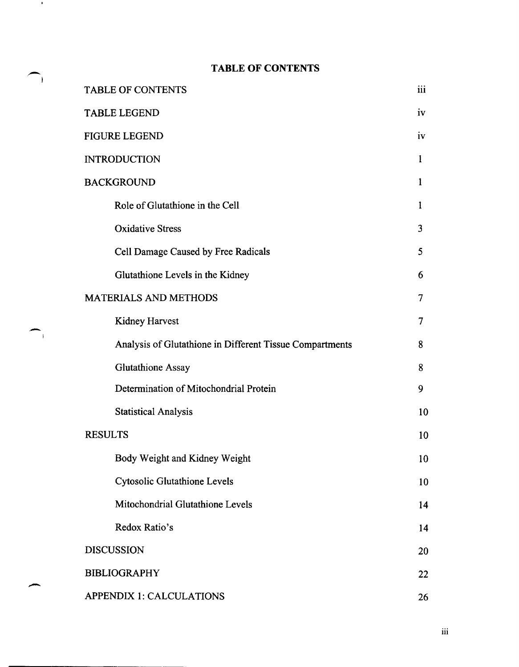# ,- **TABLE OF CONTENTS**

 $\bigcap$ 

**Contract** 

|  | TABLE OF CONTENTS                                                     |                 |  |  |  |
|--|-----------------------------------------------------------------------|-----------------|--|--|--|
|  | <b>TABLE LEGEND</b>                                                   |                 |  |  |  |
|  | <b>FIGURE LEGEND</b>                                                  |                 |  |  |  |
|  | <b>INTRODUCTION</b>                                                   |                 |  |  |  |
|  | <b>BACKGROUND</b>                                                     |                 |  |  |  |
|  | Role of Glutathione in the Cell                                       |                 |  |  |  |
|  | <b>Oxidative Stress</b>                                               | $\overline{3}$  |  |  |  |
|  | Cell Damage Caused by Free Radicals                                   | 5               |  |  |  |
|  | Glutathione Levels in the Kidney                                      | 6               |  |  |  |
|  | <b>MATERIALS AND METHODS</b>                                          |                 |  |  |  |
|  | Kidney Harvest                                                        | 7               |  |  |  |
|  | Analysis of Glutathione in Different Tissue Compartments              | 8               |  |  |  |
|  | <b>Glutathione Assay</b>                                              | 8               |  |  |  |
|  | Determination of Mitochondrial Protein<br><b>Statistical Analysis</b> |                 |  |  |  |
|  |                                                                       |                 |  |  |  |
|  | <b>RESULTS</b>                                                        |                 |  |  |  |
|  | Body Weight and Kidney Weight                                         | 10 <sup>°</sup> |  |  |  |
|  | <b>Cytosolic Glutathione Levels</b>                                   | 10              |  |  |  |
|  | Mitochondrial Glutathione Levels                                      | 14              |  |  |  |
|  | Redox Ratio's                                                         | 14              |  |  |  |
|  | <b>DISCUSSION</b>                                                     |                 |  |  |  |
|  | <b>BIBLIOGRAPHY</b>                                                   |                 |  |  |  |
|  | <b>APPENDIX 1: CALCULATIONS</b>                                       |                 |  |  |  |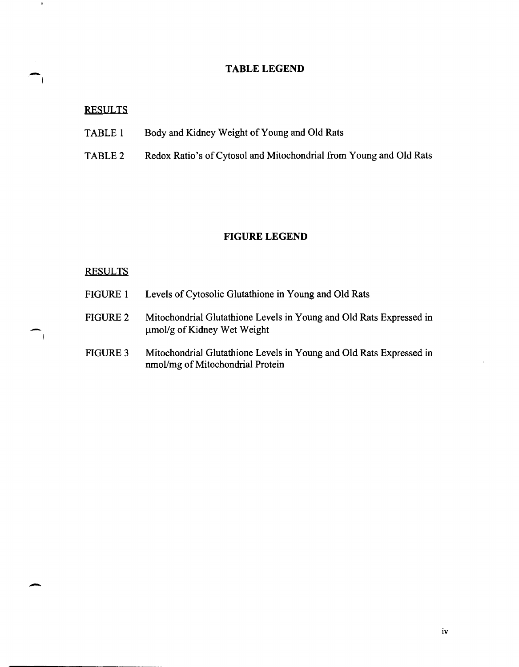# TABLE LEGEND

# RESULTS

 $\mathbf{R}$ 

- TABLE 1 Body and Kidney Weight of Young and Old Rats
- TABLE 2 Redox Ratio's of Cytosol and Mitochondrial from Young and Old Rats

# **FIGURE LEGEND**

# **RESULTS**

-

| <b>FIGURE 1</b> | Levels of Cytosolic Glutathione in Young and Old Rats                                                   |
|-----------------|---------------------------------------------------------------------------------------------------------|
| <b>FIGURE 2</b> | Mitochondrial Glutathione Levels in Young and Old Rats Expressed in<br>umol/g of Kidney Wet Weight      |
| <b>FIGURE 3</b> | Mitochondrial Glutathione Levels in Young and Old Rats Expressed in<br>nmol/mg of Mitochondrial Protein |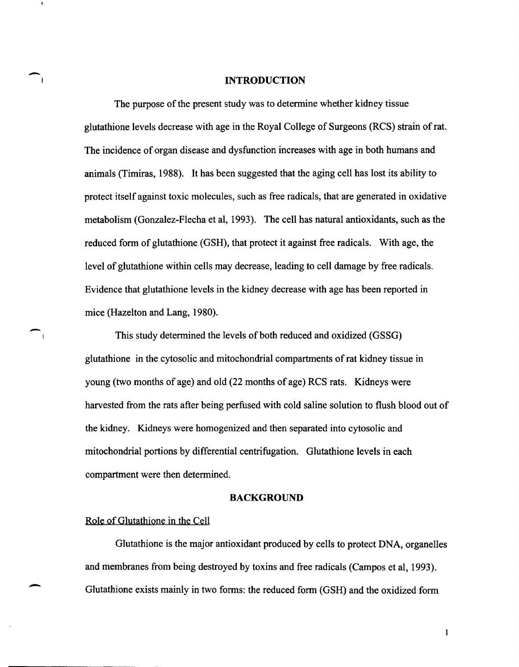#### **INTRODUCTION**

The purpose of the present study was to determine whether kidney tissue glutathione levels decrease with age in the Royal College of Surgeons (RCS) strain of rat. The incidence of organ disease and dysfunction increases with age in both humans and animals (Timiras, 1988). It has been suggested that the aging cell has lost its ability to protect itself against toxic molecules, such as free radicals, that are generated in oxidative metabolism (Gonzalez-Flecha et aI, 1993). The cell has natural antioxidants, such as the reduced form of glutathione (GSH), that protect it against free radicals. With age, the level of glutathione within cells may decrease, leading to cell damage by free radicals. Evidence that glutathione levels in the kidney decrease with age has been reported in mice (Hazelton and Lang, 1980).

This study determined the levels of both reduced and oxidized (GSSG) glutathione in the cytosolic and mitochondrial compartments of rat kidney tissue in young (two months of age) and old (22 months of age) RCS rats. Kidneys were harvested from the rats after being perfused with cold saline solution to flush blood out of the kidney. Kidneys were homogenized and then separated into cytosolic and mitochondrial portions by differential centrifugation. Glutathione levels in each compartment were then determined.

#### **BACKGROUND**

#### Role of Glutathione in the Cell

 $\overline{\phantom{0}}$ 

-

-

Glutathione is the major antioxidant produced by cells to protect DNA, organelles and membranes from being destroyed by toxins and free radicals (Campos et aI, 1993). Glutathione exists mainly in two forms: the reduced form (GSH) and the oxidized form

 $\mathbf{1}$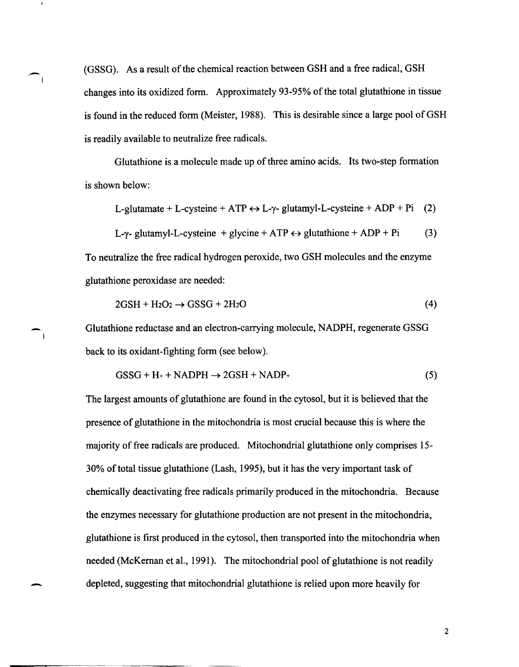(GSSG). As a result of the chemical reaction between GSH and a free radical, GSH changes into its oxidized form. Approximately 93-95% of the total glutathione in tissue is found in the reduced form (Meister, 1988). This is desirable since a large pool of GSH is readily available to neutralize free radicals.

-I

- 1

Glutathione is a molecule made up of three amino acids. Its two-step formation is shown below:

L-glutamate + L-cysteine + ATP  $\leftrightarrow$  L- $\gamma$ - glutamyl-L-cysteine + ADP + Pi (2)

$$
L-\gamma\text{-} glutamyl-L-cysteine + glycine + ATP \leftrightarrow glutathione + ADP + Pi \tag{3}
$$

To neutralize the free radical hydrogen peroxide, two GSH molecules and the enzyme glutathione peroxidase are needed:

$$
2GSH + H_2O_2 \rightarrow GSSG + 2H_2O \tag{4}
$$

Glutathione reductase and an electron-carrying molecule, NADPH, regenerate GSSG back to its oxidant-fighting form (see below).

$$
GSSG + H_{+} + NADPH \rightarrow 2GSH + NADP_{+}
$$
\n<sup>(5)</sup>

The largest amounts of glutathione are found in the cytosol, but it is believed that the presence of glutathione in the mitochondria is most crucial because this is where the majority of free radicals are produced. Mitochondrial glutathione only comprises 15- 30% of total tissue glutathione (Lash, 1995), but it has the very important task of chemically deactivating free radicals primarily produced in the mitochondria. Because the enzymes necessary for glutathione production are not present in the mitochondria, glutathione is first produced in the cytosol, then transported into the mitochondria when needed (McKernan et al., 1991). The mitochondrial pool of glutathione is not readily depleted, suggesting that mitochondrial glutathione is relied upon more heavily for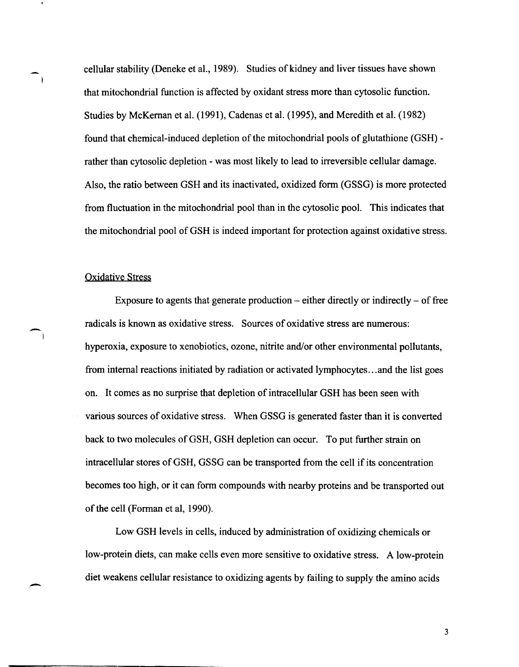cellular stability (Deneke et aI., 1989). Studies of kidney and liver tissues have shown that mitochondrial function is affected by oxidant stress more than cytosolic function. Studies by McKernan et al. (1991), Cadenas et al. (1995), and Meredith et al. (1982) found that chemical-induced depletion of the mitochondrial pools of glutathione (GSH) rather than cytosolic depletion - was most likely to lead to irreversible cellular damage. Also, the ratio between GSH and its inactivated, oxidized form (GSSG) is more protected from fluctuation in the mitochondrial pool than in the cytosolic pool. This indicates that the mitochondrial pool of GSH is indeed important for protection against oxidative stress.

#### Oxidative Stress

 $\blacksquare$ 

 $\sqrt{1}$ 

-

Exposure to agents that generate production  $-$  either directly or indirectly  $-$  of free radicals is known as oxidative stress. Sources of oxidative stress are numerous: hyperoxia, exposure to xenobiotics, ozone, nitrite and/or other environmental pollutants, from internal reactions initiated by radiation or activated lymphocytes ... and the list goes on. It comes as no surprise that depletion of intracellular GSH has been seen with various sources of oxidative stress. When GSSG is generated faster than it is converted back to two molecules of GSH, GSH depletion can occur. To put further strain on intracellular stores of GSH, GSSG can be transported from the cell if its concentration becomes too high, or it can form compounds with nearby proteins and be transported out of the cell (Forman et aI, 1990).

Low GSH levels in cells, induced by administration of oxidizing chemicals or low-protein diets, can make cells even more sensitive to oxidative stress. A low-protein diet weakens cellular resistance to oxidizing agents by failing to supply the amino acids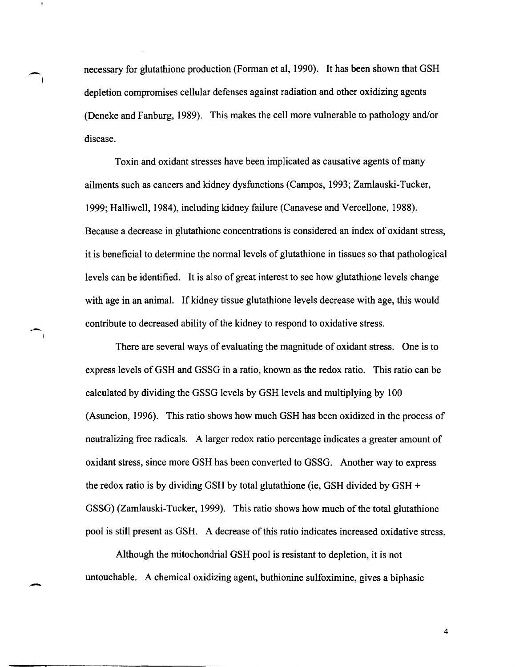necessary for glutathione production (Forman et ai, 1990). It has been shown that GSH depletion compromises cellular defenses against radiation and other oxidizing agents (Deneke and Fanburg, 1989). This makes the cell more vulnerable to pathology and/or disease.

-I

--

-

Toxin and oxidant stresses have been implicated as causative agents of many ailments such as cancers and kidney dysfunctions (Campos, 1993; Zamlauski-Tucker, 1999; Halliwell, 1984), including kidney failure (Canavese and Vercellone, 1988). Because a decrease in glutathione concentrations is considered an index of oxidant stress, it is beneficial to determine the normal levels of glutathione in tissues so that pathological levels can be identified. It is also of great interest to see how glutathione levels change with age in an animal. If kidney tissue glutathione levels decrease with age, this would contribute to decreased ability of the kidney to respond to oxidative stress.

There are several ways of evaluating the magnitude of oxidant stress. One is to express levels of GSH and GSSG in a ratio, known as the redox ratio. This ratio can be calculated by dividing the GSSG levels by GSH levels and multiplying by 100 (Asuncion, 1996). This ratio shows how much GSH has been oxidized in the process of neutralizing free radicals. A larger redox ratio percentage indicates a greater amount of oxidant stress, since more GSH has been converted to GSSG. Another way to express the redox ratio is by dividing GSH by total glutathione (ie, GSH divided by GSH  $+$ GSSG) (Zamlauski-Tucker, 1999). This ratio shows how much of the total glutathione pool is still present as GSH. A decrease of this ratio indicates increased oxidative stress.

Although the mitochondrial GSH pool is resistant to depletion, it is not untouchable. A chemical oxidizing agent, buthionine sulfoximine, gives a biphasic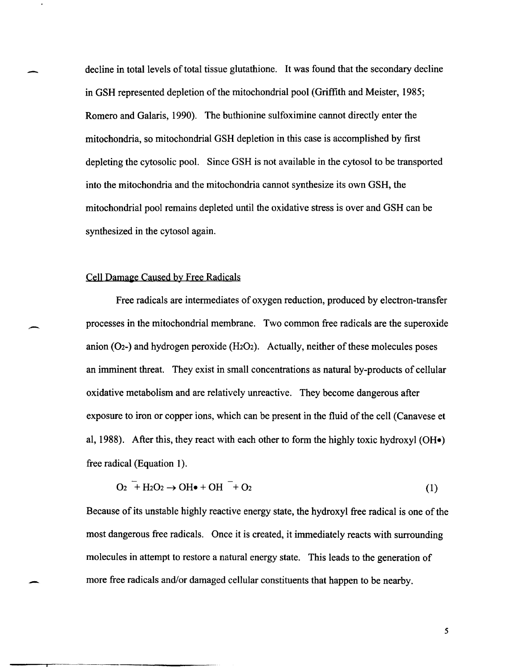decline in total levels of total tissue glutathione. It was found that the secondary decline in GSH represented depletion of the mitochondrial pool (Griffith and Meister, 1985; Romero and Galaris, 1990). The buthionine sulfoximine cannot directly enter the mitochondria, so mitochondrial GSH depletion in this case is accomplished by first depleting the cytosolic pool. Since GSH is not available in the cytosol to be transported into the mitochondria and the mitochondria cannot synthesize its own GSH, the mitochondrial pool remains depleted until the oxidative stress is over and GSH can be synthesized in the cytosol again.

# Cell Damage Caused by Free Radicals

Free radicals are intermediates of oxygen reduction, produced by electron-transfer processes in the mitochondrial membrane. Two common free radicals are the superoxide anion (O<sub>2</sub>-) and hydrogen peroxide ( $H_2O_2$ ). Actually, neither of these molecules poses an imminent threat. They exist in small concentrations as natural by-products of cellular oxidative metabolism and are relatively unreactive. They become dangerous after exposure to iron or copper ions, which can be present in the fluid of the cell (Canavese et al, 1988). After this, they react with each other to form the highly toxic hydroxyl (OH $\bullet$ ) free radical (Equation 1).

$$
O_2 \stackrel{\sim}{+} H_2O_2 \rightarrow OH\bullet + OH \stackrel{\sim}{+} O_2 \tag{1}
$$

Because of its unstable highly reactive energy state, the hydroxyl free radical is one of the most dangerous free radicals. Once it is created, it immediately reacts with surrounding molecules in attempt to restore a natural energy state. This leads to the generation of more free radicals and/or damaged cellular constituents that happen to be nearby.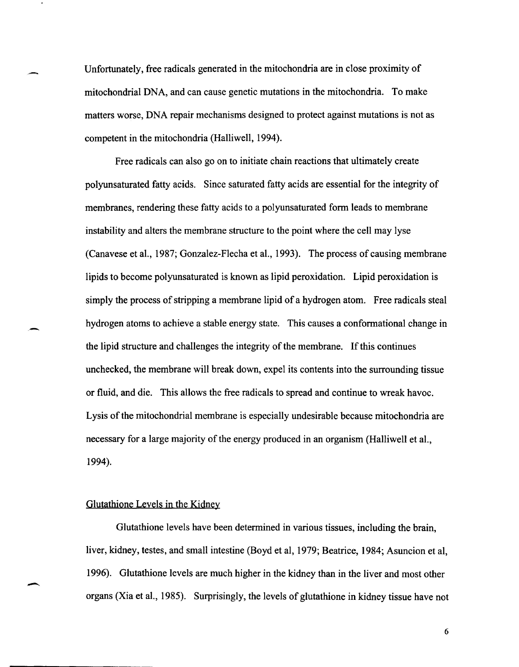Unfortunately, free radicals generated in the mitochondria are in close proximity of mitochondrial DNA, and can cause genetic mutations in the mitochondria. To make matters worse, DNA repair mechanisms designed to protect against mutations is not as competent in the mitochondria (Halliwell, 1994).

Free radicals can also go on to initiate chain reactions that ultimately create polyunsaturated fatty acids. Since saturated fatty acids are essential for the integrity of membranes, rendering these fatty acids to a polyunsaturated form leads to membrane instability and alters the membrane structure to the point where the cell may lyse (Canavese et aI., 1987; Gonzalez-Flecha et aI., 1993). The process of causing membrane lipids to become polyunsaturated is known as lipid peroxidation. Lipid peroxidation is simply the process of stripping a membrane lipid of a hydrogen atom. Free radicals steal hydrogen atoms to achieve a stable energy state. This causes a conformational change in the lipid structure and challenges the integrity of the membrane. If this continues unchecked, the membrane will break down, expel its contents into the surrounding tissue or fluid, and die. This allows the free radicals to spread and continue to wreak havoc. Lysis of the mitochondrial membrane is especially undesirable because mitochondria are necessary for a large majority of the energy produced in an organism (Halliwell et aI., 1994).

# Glutathione Levels in the Kidney

-

--

Glutathione levels have been detennined in various tissues, including the brain, liver, kidney, testes, and small intestine (Boyd et aI, 1979; Beatrice, 1984; Asuncion et aI, 1996). Glutathione levels are much higher in the kidney than in the liver and most other organs (Xia et aI., 1985). Surprisingly, the levels of glutathione in kidney tissue have not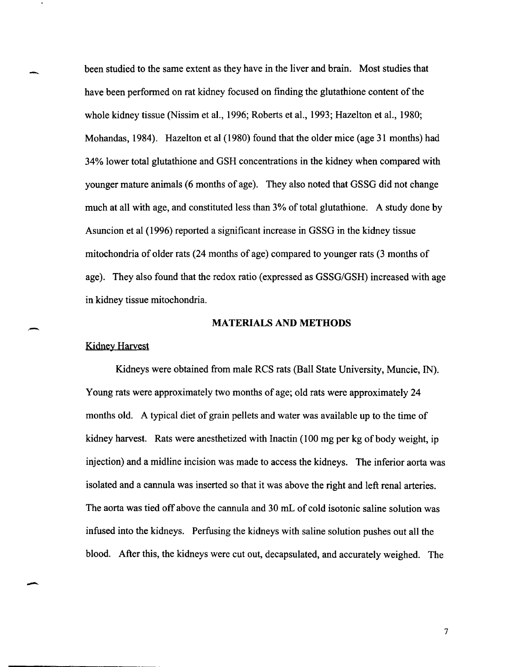been studied to the same extent as they have in the liver and brain. Most studies that have been performed on rat kidney focused on finding the glutathione content of the whole kidney tissue (Nissim et aI., 1996; Roberts et aI., 1993; Hazelton et aI., 1980; Mohandas, 1984). Hazelton et al (1980) found that the older mice (age 31 months) had 34% lower total glutathione and GSH concentrations in the kidney when compared with younger mature animals (6 months of age). They also noted that GSSG did not change much at all with age, and constituted less than 3% of total glutathione. A study done by Asuncion et al (1996) reported a significant increase in GSSG in the kidney tissue mitochondria of older rats (24 months of age) compared to younger rats (3 months of age). They also found that the redox ratio (expressed as GSSG/GSH) increased with age in kidney tissue mitochondria.

#### MATERIALS AND METHODS

#### Kidney Harvest

-

,-

-

Kidneys were obtained from male RCS rats (Ball State University, Muncie, IN). Young rats were approximately two months of age; old rats were approximately 24 months old. A typical diet of grain pellets and water was available up to the time of kidney harvest. Rats were anesthetized with Inactin (100 mg per kg of body weight, ip injection) and a midline incision was made to access the kidneys. The inferior aorta was isolated and a cannula was inserted so that it was above the right and left renal arteries. The aorta was tied off above the cannula and 30 mL of cold isotonic saline solution was infused into the kidneys. Perfusing the kidneys with saline solution pushes out all the blood. After this, the kidneys were cut out, decapsulated, and accurately weighed. The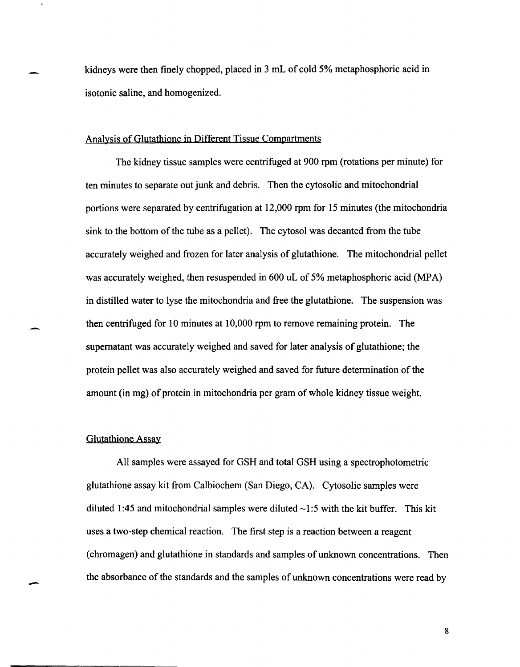kidneys were then finely chopped, placed in 3 mL of cold 5% metaphosphoric acid in isotonic saline, and homogenized.

#### Analysis of Glutathione in Different Tissue Compartments

The kidney tissue samples were centrifuged at 900 rpm (rotations per minute) for ten minutes to separate out junk and debris. Then the cytosolic and mitochondrial portions were separated by centrifugation at 12,000 rpm for 15 minutes (the mitochondria sink to the bottom of the tube as a pellet). The cytosol was decanted from the tube accurately weighed and frozen for later analysis of glutathione. The mitochondrial pellet was accurately weighed, then resuspended in 600 uL of 5% metaphosphoric acid (MPA) in distilled water to lyse the mitochondria and free the glutathione. The suspension was then centrifuged for 10 minutes at 10,000 rpm to remove remaining protein. The supernatant was accurately weighed and saved for later analysis of glutathione; the protein pellet was also accurately weighed and saved for future determination of the amount (in mg) of protein in mitochondria per gram of whole kidney tissue weight.

# Glutathione Assay

,-

-

All samples were assayed for GSH and total GSH using a spectrophotometric glutathione assay kit from Calbiochem (San Diego, CA). Cytosolic samples were diluted 1:45 and mitochondrial samples were diluted  $\sim$ 1:5 with the kit buffer. This kit uses a two-step chemical reaction. The first step is a reaction between a reagent (chromagen) and glutathione in standards and samples of unknown concentrations. Then the absorbance of the standards and the samples of unknown concentrations were read by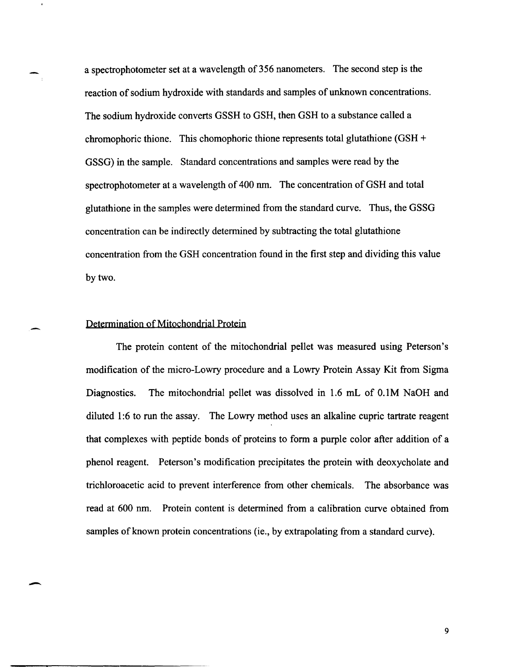a spectrophotometer set at a wavelength of 356 nanometers. The second step is the reaction of sodium hydroxide with standards and samples of unknown concentrations. The sodium hydroxide converts GSSH to GSH, then GSH to a substance called a chromophoric thione. This chomophoric thione represents total glutathione (GSH + GSSG) in the sample. Standard concentrations and samples were read by the spectrophotometer at a wavelength of 400 nm. The concentration of GSH and total glutathione in the samples were determined from the standard curve. Thus, the GSSG concentration can be indirectly determined by subtracting the total glutathione concentration from the GSH concentration found in the first step and dividing this value by two.

# Determination of Mitochondrial Protein

-

The protein content of the mitochondrial pellet was measured using Peterson's modification of the micro-Lowry procedure and a Lowry Protein Assay Kit from Sigma Diagnostics. The mitochondrial pellet was dissolved in 1.6 mL of O.IM NaOH and diluted 1:6 to run the assay. The Lowry method uses an alkaline cupric tartrate reagent that complexes with peptide bonds of proteins to form a purple color after addition of a phenol reagent. Peterson's modification precipitates the protein with deoxycholate and trichloroacetic acid to prevent interference from other chemicals. The absorbance was read at 600 nm. Protein content is determined from a calibration curve obtained from samples of known protein concentrations (ie., by extrapolating from a standard curve).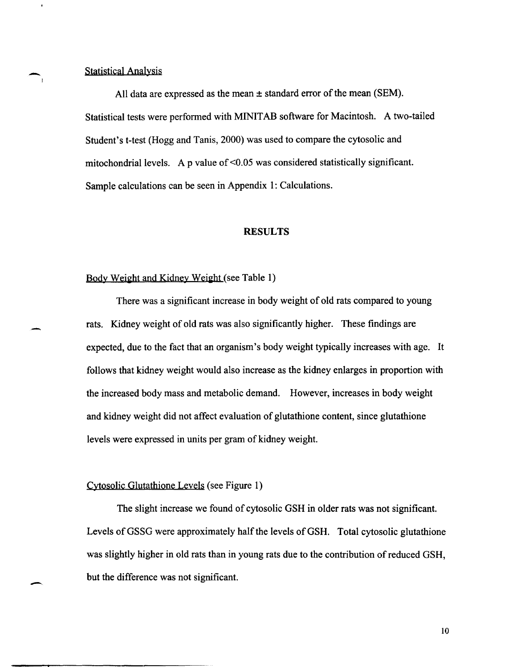# Statistical Analysis

All data are expressed as the mean ± standard error of the mean (SEM). Statistical tests were performed with MINIT AB software for Macintosh. A two-tailed Student's t-test (Hogg and Tanis, 2000) was used to compare the cytosolic and mitochondrial levels. A p value of  $\leq 0.05$  was considered statistically significant. Sample calculations can be seen in Appendix 1: Calculations.

#### **RESULTS**

# Body Weight and Kidney Weight (see Table 1)

There was a significant increase in body weight of old rats compared to young rats. Kidney weight of old rats was also significantly higher. These findings are expected, due to the fact that an organism's body weight typically increases with age. It follows that kidney weight would also increase as the kidney enlarges in proportion with the increased body mass and metabolic demand. However, increases in body weight and kidney weight did not affect evaluation of glutathione content, since glutathione levels were expressed in units per gram of kidney weight.

# Cytosolic Glutathione Levels (see Figure 1)

The slight increase we found of cytosolic GSH in older rats was not significant. Levels of GSSG were approximately half the levels of GSH. Total cytosolic glutathione was slightly higher in old rats than in young rats due to the contribution of reduced GSH, but the difference was not significant.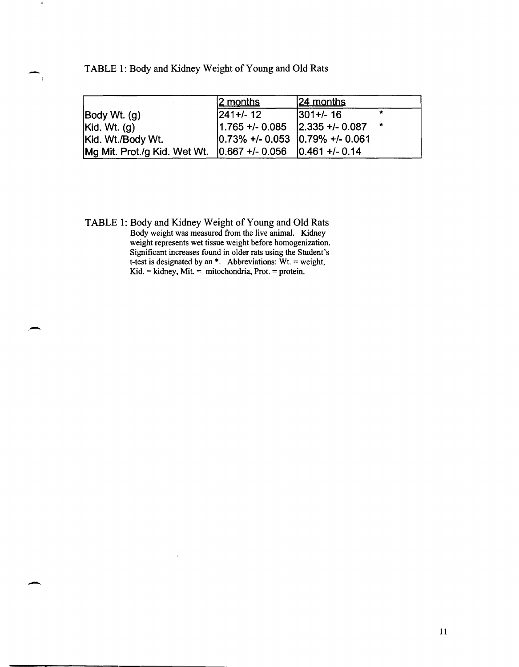TABLE 1: Body and Kidney Weight of Young and Old Rats

|                                        | 2 months                                                      | $ 24$ months     |         |
|----------------------------------------|---------------------------------------------------------------|------------------|---------|
| $\vert$ Body Wt. $\langle$ g $\rangle$ | $ 241+/- 12 $                                                 | $ 301 + / - 16 $ | $\star$ |
| Kid. Wt. (g)                           | $ 1.765 + \cdot $ 0.085 $ 2.335 + \cdot $ 0.087               |                  |         |
| Kid. Wt./Body Wt.                      | $\vert 0.73\% + \vert 0.053 \vert 0.79\% + \vert 0.061 \vert$ |                  |         |
| Mg Mit. Prot./g Kid. Wet Wt.           | $ 0.667 + (-0.056   0.461 + (-0.14$                           |                  |         |

TABLE 1: Body and Kidney Weight of Young and Old Rats Body weight was measured from the live animal. Kidney weight represents wet tissue weight before homogenization. Significant increases found in older rats using the Student's t-test is designated by an  $*$ . Abbreviations:  $Wt$ . = weight, Kid. = kidney, Mit. = mitochondria, Prot. = protein.

,-

 $\blacksquare$ 

 $\overline{1}$ 

-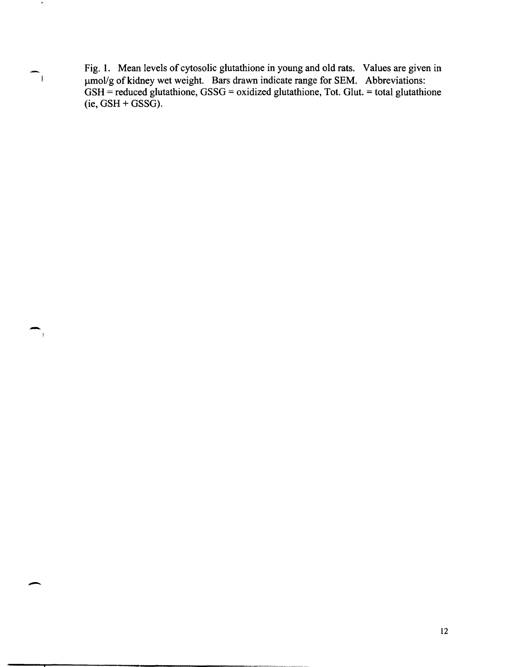Fig. 1. Mean levels of cytosolic glutathione in young and old rats. Values are given in  $\mu$ mol/g of kidney wet weight. Bars drawn indicate range for SEM. Abbreviations:  $GSH =$  reduced glutathione,  $GSSG =$  oxidized glutathione, Tot. Glut. = total glutathione  $(ie, GSH + GSSG).$ 

-

.

 $\overline{\phantom{0}}$ 

 $\overline{\phantom{a}}$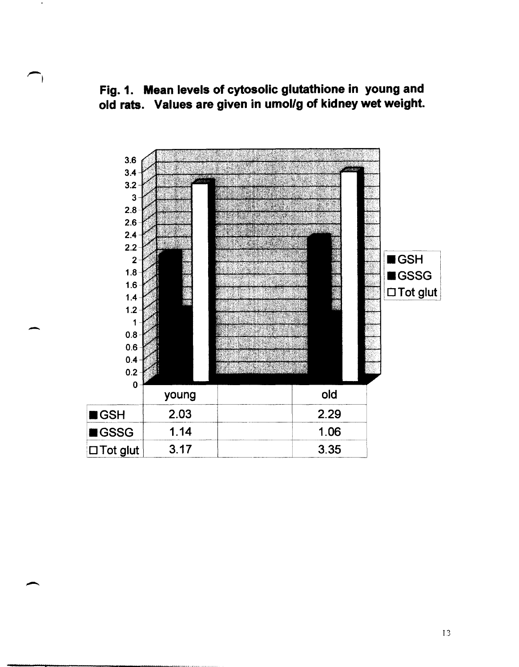Fig. 1. Mean levels of cytosolic glutathione in young and old rats. Values are given in umol/g of kidney wet weight.



-

 $\rightarrow$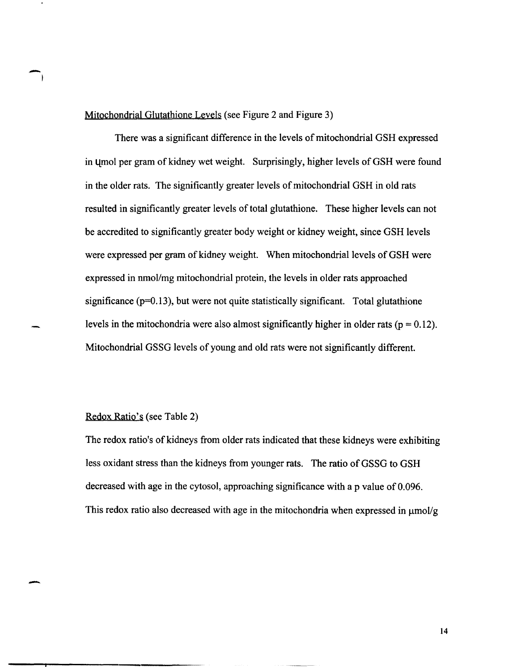## Mitochondrial Glutathione Levels (see Figure 2 and Figure 3)

There was a significant difference in the levels of mitochondrial GSH expressed in umol per gram of kidney wet weight. Surprisingly, higher levels of GSH were found in the older rats. The significantly greater levels of mitochondrial GSH in old rats resulted in significantly greater levels of total glutathione. These higher levels can not be accredited to significantly greater body weight or kidney weight, since GSH levels were expressed per gram of kidney weight. When mitochondrial levels of GSH were expressed in nmol/mg mitochondrial protein, the levels in older rats approached significance *(p=O.13),* but were not quite statistically significant. Total glutathione levels in the mitochondria were also almost significantly higher in older rats ( $p = 0.12$ ). Mitochondrial GSSG levels of young and old rats were not significantly different.

## Redox Ratio's (see Table 2)

 $\overline{\phantom{a}}$ 

-

The redox ratio's of kidneys from older rats indicated that these kidneys were exhibiting less oxidant stress than the kidneys from younger rats. The ratio of GSSG to GSH decreased with age in the cytosol, approaching significance with a p value of 0.096. This redox ratio also decreased with age in the mitochondria when expressed in  $\mu$ mol/g.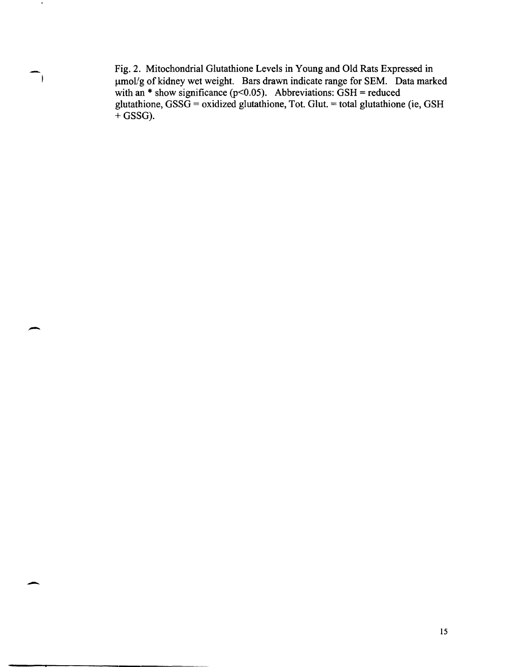Fig. 2. Mitochondrial Glutathione Levels in Young and Old Rats Expressed in umol/g of kidney wet weight. Bars drawn indicate range for SEM. Data marked with an \* show significance ( $p$ <0.05). Abbreviations: GSH = reduced glutathione, GSSG = oxidized glutathione, Tot. Glut. = total glutathione (ie, GSH)  $+$  GSSG).

-

 $\blacksquare$ 

 $\overline{ }$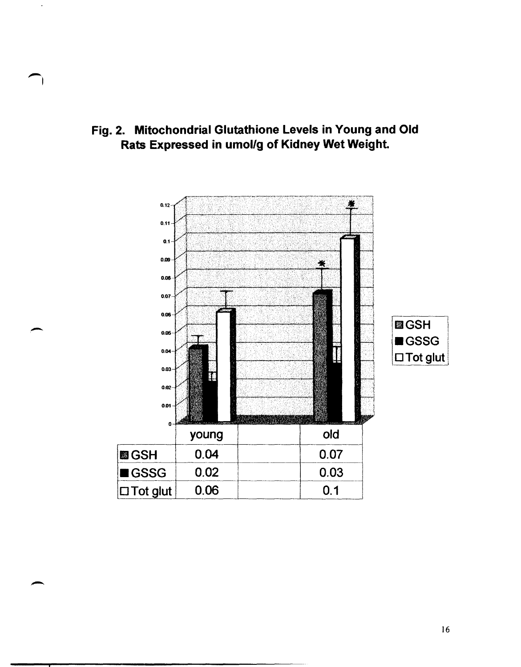Fig. 2. Mitochondrial Glutathione Levels in Young and Old Rats Expressed in umol/g of Kidney Wet Weight.



-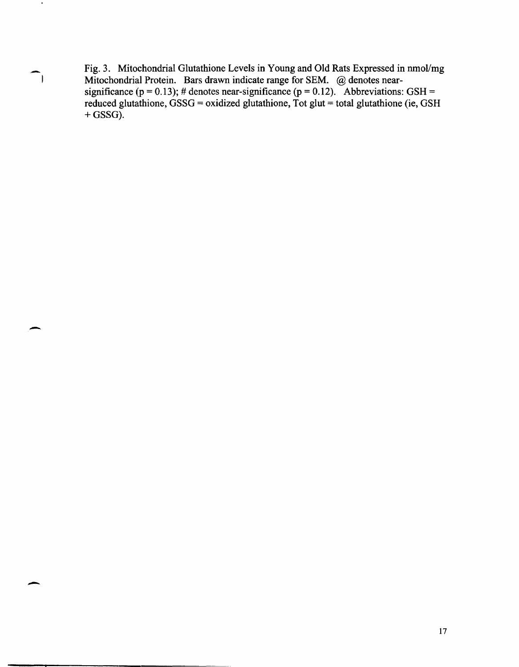Fig. 3. Mitochondrial Glutathione Levels in Young and Old Rats Expressed in nmol/mg Mitochondrial Protein. Bars drawn indicate range for SEM. @ denotes nearsignificance (p = 0.13); # denotes near-significance (p = 0.12). Abbreviations: GSH = reduced glutathione, GSSG = oxidized glutathione, Tot glut = total glutathione (ie, GSH  $+$  GSSG).

-

 $\blacksquare$ 

 $\mathbf{r}$ 

-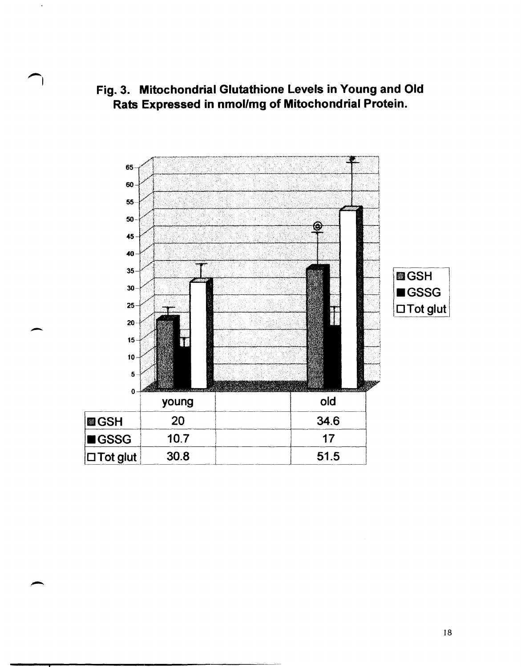Fig. 3. Mitochondrial Glutathione Levels in Young and Old Rats Expressed in nmol/mg of Mitochondrial Protein.



-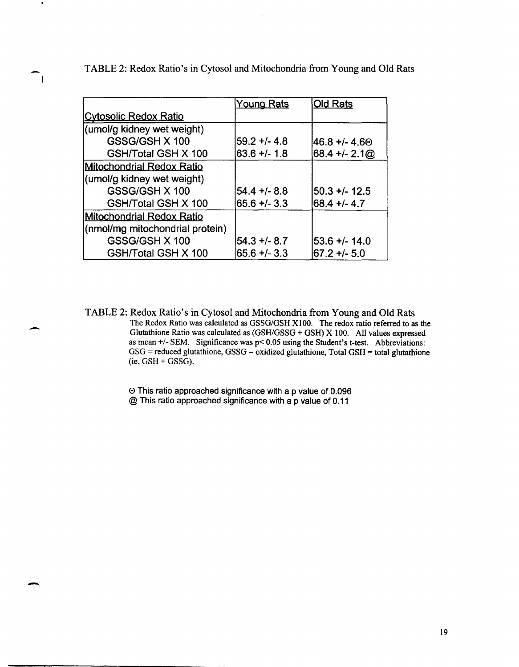|  | $VQ$ ung Rate $\Box$ $\Box$ Id Rate |  |
|--|-------------------------------------|--|
|  |                                     |  |

TABLE 2: Redox Ratio's in Cytosol and Mitochondria from Young and Old Rats

|                                  | <u>TUUTU NAIS</u> | <u>viu nais</u> |
|----------------------------------|-------------------|-----------------|
| <u> ICvtosolic Redox Ratio</u>   |                   |                 |
| (umol/g kidney wet weight)       |                   |                 |
| GSSG/GSH X 100                   | $59.2 + 4.8$      | 46.8 +/- 4.60   |
| GSH/Total GSH X 100              | $63.6 + 1.8$      | $68.4 + 2.100$  |
| <b>Mitochondrial Redox Ratio</b> |                   |                 |
| (umol/g kidney wet weight)       |                   |                 |
| GSSG/GSH X 100                   | $54.4 + 8.8$      | $50.3 + 12.5$   |
| GSH/Total GSH X 100              | $65.6 + 3.3$      | 68.4 +/- 4.7    |
| Mitochondrial Redox Ratio        |                   |                 |
| (nmol/mg mitochondrial protein)  |                   |                 |
| GSSG/GSH X 100                   | $54.3 + 8.7$      | 53.6 +/- 14.0   |
| GSH/Total GSH X 100              | $65.6 + - 3.3$    | 67.2 +/- 5.0    |

TABLE 2: Redox Ratio's in Cytosol and Mitochondria from Young and Old Rats The Redox Ratio was calculated as *GSSG/GSH* X100. The redox ratio referred to as the Glutathione Ratio was calculated as  $(GSH/GSSG + GSH)$  X 100. All values expressed as mean *+1-* SEM. Significance was p< 0.05 using the Student's t-test. Abbreviations:  $GSG$  = reduced glutathione,  $GSSG$  = oxidized glutathione, Total  $GSH$  = total glutathione  $(ie, GSH + GSSG).$ 

> e This ratio approached significance with a p value of 0.096 @ This ratio approached significance with a p value of 0.11

-

 $\cdot$ 

 $\overline{\phantom{a}}$ 

-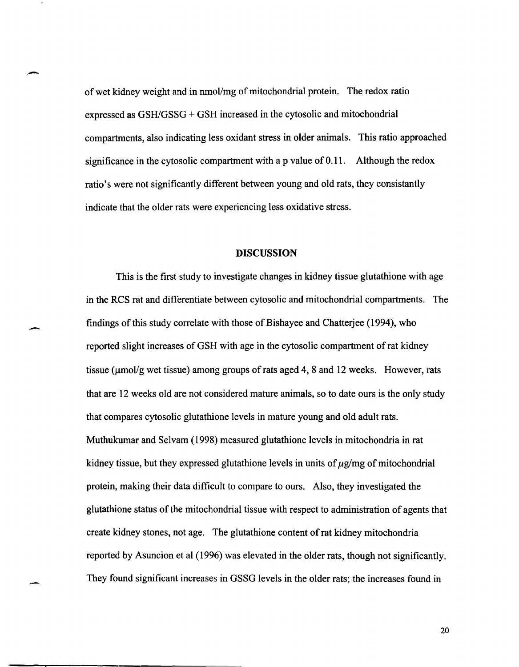of wet kidney weight and in nmol/mg of mitochondrial protein. The redox ratio expressed as  $GSH/GSSG + GSH$  increased in the cytosolic and mitochondrial compartments, also indicating less oxidant stress in older animals. This ratio approached significance in the cytosolic compartment with a p value of 0.11. Although the redox ratio's were not significantly different between young and old rats, they consistantly indicate that the older rats were experiencing less oxidative stress.

 $\rightarrow$ 

.-

## **DISCUSSION**

This is the first study to investigate changes in kidney tissue glutathione with age in the RCS rat and differentiate between cytosolic and mitochondrial compartments. The findings of this study correlate with those of Bishayee and Chatterjee (1994), who reported slight increases of GSH with age in the cytosolic compartment of rat kidney tissue ( $\mu$ mol/g wet tissue) among groups of rats aged 4, 8 and 12 weeks. However, rats that are 12 weeks old are not considered mature animals, so to date ours is the only study that compares cytosolic glutathione levels in mature young and old adult rats. Muthukumar and Selvam (1998) measured glutathione levels in mitochondria in rat kidney tissue, but they expressed glutathione levels in units of  $\mu$ g/mg of mitochondrial protein, making their data difficult to compare to ours. Also, they investigated the glutathione status of the mitochondrial tissue with respect to administration of agents that create kidney stones, not age. The glutathione content of rat kidney mitochondria reported by Asuncion et al (1996) was elevated in the older rats, though not significantly. They found significant increases in GSSG levels in the older rats; the increases found in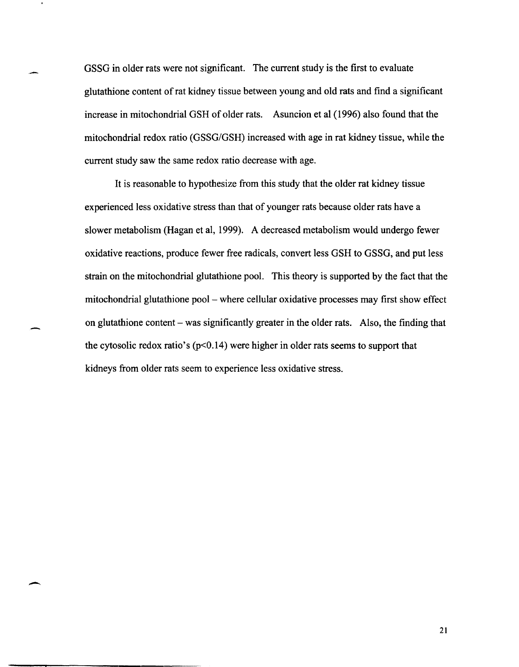GSSG in older rats were not significant. The current study is the first to evaluate glutathione content of rat kidney tissue between young and old rats and find a significant increase in mitochondrial GSH of older rats. Asuncion et al (1996) also found that the mitochondrial redox ratio (GSSG/GSH) increased with age in rat kidney tissue, while the current study saw the same redox ratio decrease with age.

It is reasonable to hypothesize from this study that the older rat kidney tissue experienced less oxidative stress than that of younger rats because older rats have a slower metabolism (Hagan et aI, 1999). A decreased metabolism would undergo fewer oxidative reactions, produce fewer free radicals, convert less GSH to GSSG, and put less strain on the mitochondrial glutathione pool. This theory is supported by the fact that the mitochondrial glutathione pool – where cellular oxidative processes may first show effect on glutathione content  $-$  was significantly greater in the older rats. Also, the finding that the cytosolic redox ratio's ( $p<0.14$ ) were higher in older rats seems to support that kidneys from older rats seem to experience less oxidative stress.

 $\overline{\phantom{a}}$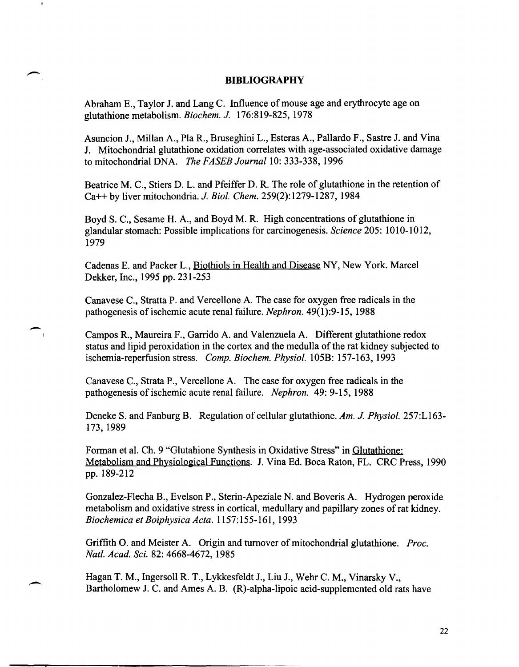# **BIBLIOGRAPHY**

Abraham E., Taylor J. and Lang C. Influence of mouse age and erythrocyte age on glutathione metabolism. *Biochem. J.* 176:819-825, 1978

Asuncion J., Millan A., PIa R., Bruseghini L., Esteras A., Pallardo F., Sastre J. and Vina J. Mitochondrial glutathione oxidation correlates with age-associated oxidative damage to mitochondrial DNA. *The FASEB Journal* 10: 333-338, 1996

Beatrice M. C., Stiers D. L. and Pfeiffer D. R. The role of glutathione in the retention of Ca++ by liver mitochondria. 1. *Bioi. Chem.* 259(2): 1279-1287, 1984

Boyd S. c., Sesame H. A., and Boyd M. R. High concentrations of glutathione in glandular stomach: Possible implications for carcinogenesis. *Science* 205: 1010-1012, 1979

Cadenas E. and Packer L., Biothiols in Health and Disease NY, New York. Marcel Dekker, Inc., 1995 pp. 231-253

Canavese C., Stratta P. and Vercellone A. The case for oxygen free radicals in the pathogenesis of ischemic acute renal failure. *Nephron.* 49(1):9-15, 1988

-

<sup>I</sup>Campos R., Maureira F., Garrido A. and Valenzuela A. Different glutathione redox status and lipid peroxidation in the cortex and the medulla of the rat kidney subjected to ischemia-reperfusion stress. *Comp. Biochem. Physiol.* 105B: 157-163, 1993

Canavese C., Strata P., Vercellone A. The case for oxygen free radicals in the pathogenesis of ischemic acute renal failure. *Nephron.* 49: 9-15, 1988

Deneke S. and Fanburg B. Regulation of cellular glutathione. *Am.* 1. *Physiol.* 257:LI63- 173, 1989

Forman et al. Ch. 9 "Glutahione Synthesis in Oxidative Stress" in Glutathione: Metabolism and Physiological Functions. J. Vina Ed. Boca Raton, FL. CRC Press, 1990 pp. 189-212

Gonzalez-Flecha B., Evelson P., Sterin-Apeziale N. and Boveris A. Hydrogen peroxide metabolism and oxidative stress in cortical, medullary and papillary zones of rat kidney. *Biochemica et Boiphysica Acta.* 1157:155-161, 1993

Griffith O. and Meister A. Origin and turnover of mitochondrial glutathione. *Proc. Natl. Acad.* Sci. 82: 4668-4672, 1985

Hagan T. M., Ingersoll R. T., Lykkesfeldt J., Liu J., Wehr C. M., Vinarsky V., Bartholomew J. C. and Ames A. B. (R)-alpha-lipoic acid-supplemented old rats have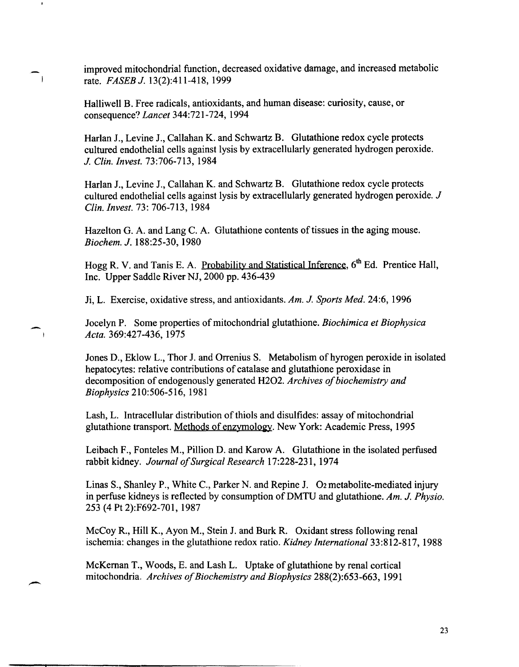improved mitochondrial function, decreased oxidative damage, and increased metabolic rate. *FASEB J.* 13(2):411-418, 1999

Halliwell B. Free radicals, antioxidants, and human disease: curiosity, cause, or consequence? *Lancet* 344:721-724,1994

Harlan J., Levine J., Callahan K. and Schwartz B. Glutathione redox cycle protects cultured endothelial cells against lysis by extracellularly generated hydrogen peroxide. *J. Clin. Invest.* 73:706-713, 1984

Harlan J., Levine J., Callahan K. and Schwartz B. Glutathione redox cycle protects cultured endothelial cells against lysis by extracellularly generated hydrogen peroxide. J *c/in. Invest.* 73: 706-713, 1984

Hazelton G. A. and Lang C. A. Glutathione contents of tissues in the aging mouse. *Biochem.* J. 188:25-30, 1980

Hogg R. V. and Tanis E. A. Probability and Statistical Inference, 6<sup>th</sup> Ed. Prentice Hall, Inc. Upper Saddle River NJ, 2000 pp. 436-439

Ji, L. Exercise, oxidative stress, and antioxidants. *Am. J. Sports Med.* 24:6, 1996

Jocelyn P. Some properties of mitochondrial glutathione. *Biochimica et Biophysica Acta.* 369:427-436, 1975

Jones D., Eklow L., Thor J. and Orrenius S. Metabolism of hyrogen peroxide in isolated hepatocytes: relative contributions of catalase and glutathione peroxidase in decomposition of endogenously generated H202. *Archives 0/ biochemistry and Biophysics* 210:506-516, 1981

Lash, L. Intracellular distribution of thiols and disulfides: assay of mitochondrial glutathione transport. Methods of enzymology. New York: Academic Press, 1995

Leibach F., Fonteles M., Pillion D. and Karow A. Glutathione in the isolated perfused rabbit kidney. *Journal of Surgical Research* 17:228-231, 1974

Linas S., Shanley P., White C., Parker N. and Repine J. O2 metabolite-mediated injury in perfuse kidneys is reflected by consumption ofDMTU and glutathione. *Am. J. Physio.*  253 (4 Pt 2):F692-701, 1987

McCoy R., Hill K., Ayon M., Stein J. and Burk R. Oxidant stress following renal ischemia: changes in the glutathione redox ratio. *Kidney International* 33:812-817, 1988

McKernan T., Woods, E. and Lash L. Uptake of glutathione by renal cortical mitochondria. *Archives o/Biochemistry and Biophysics* 288(2):653-663, 1991

-

 $\overline{\phantom{a}}$ 

 $\sim$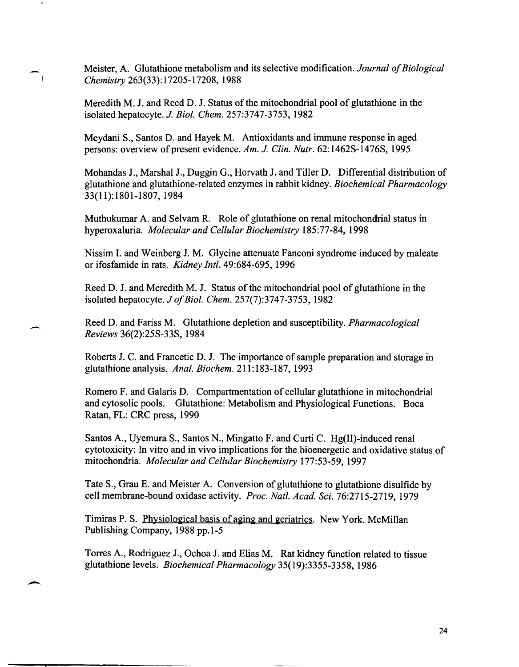Meister, A. Glutathione metabolism and its selective modification. *Journal of Biological Chemistry* 263(33): 17205-17208, 1988

Meredith M. J. and Reed D. J. Status of the mitochondrial pool of glutathione in the isolated hepatocyte. *J. Bioi. Chem.* 257:3747-3753, 1982

Meydani S., Santos D. and Hayek M. Antioxidants and immune response in aged persons: overview of present evidence. *Am. J. Clin. Nutr.* 62: 1462S-1476S, 1995

Mohandas J., Marshal J., Duggin G., Horvath J. and Tiller D. Differential distribution of glutathione and glutathione-related enzymes in rabbit kidney. *Biochemical Pharmacology*  33(11):1801-1807, 1984

Muthukumar A. and Selvam R. Role of glutathione on renal mitochondrial status in hyperoxaluria. *Molecular and Cellular Biochemistry* 185:77-84, 1998

Nissim I. and Weinberg J. M. Glycine attenuate Fanconi syndrome induced by maleate or ifosfamide in rats. *Kidney Inti.* 49:684-695, 1996

Reed D. J. and Meredith M. J. Status of the mitochondrial pool of glutathione in the isolated hepatocyte. *J of Bioi. Chem.* 257(7):3747-3753, 1982

Reed D. and Fariss M. Glutathione depletion and susceptibility. *Pharmacological Reviews* 36(2):25S-33S, 1984

Roberts J. C. and Francetic D. J. The importance of sample preparation and storage in glutathione analysis. *Anal. Biochem.* 211: 183-187, 1993

Romero F. and Galaris D. Compartmentation of cellular glutathione in mitochondrial and cytosolic pools. Glutathione: Metabolism and Physiological Functions. Boca Ratan, FL: CRC press, 1990

Santos A, Uyemura S., Santos N., Mingatto F. and Curti C. Hg(II)-induced renal cytotoxicity: In vitro and in vivo implications for the bioenergetic and oxidative status of mitochondria. *Molecular and Cellular Biochemistry* 177:53-59, 1997

Tate S., Grau E. and Meister A. Conversion of glutathione to glutathione disulfide by cell membrane-bound oxidase activity. *Proc. Natl. Acad. Sci.* 76:2715-2719, 1979

Timiras P. S. Physiological basis of aging and geriatrics. New York. McMillan Publishing Company, 1988 pp.I-5

---..,...--------------

 $\overline{\phantom{a}}$ 

Torres A, Rodriguez J., Ochoa J. and Elias M. Rat kidney function related to tissue glutathione levels. *Biochemical Pharmacology* 35(19):3355-3358, 1986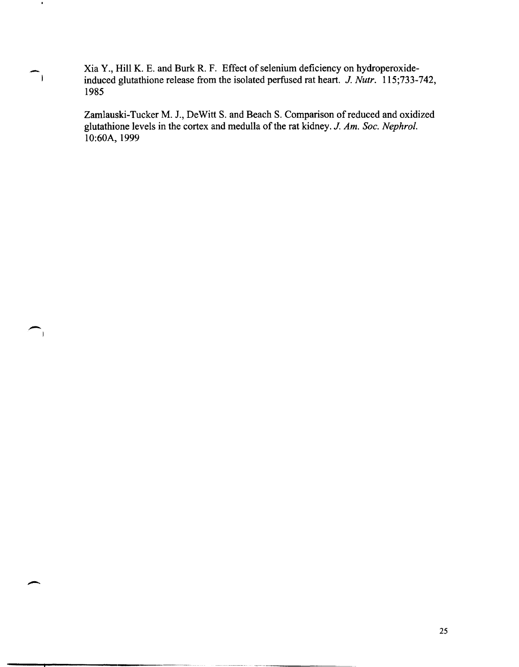Xia Y., Hill K. E. and Burk R. F. Effect of selenium deficiency on hydroperoxideinduced glutathione release from the isolated perfused rat heart. J. *Nutr. 115;733-742,*  1985

-

÷,

 $\overline{\phantom{0}}$ 

Zamlauski-Tucker M. 1., DeWitt S. and Beach S. Comparison of reduced and oxidized glutathione levels in the cortex and medulla of the rat kidney. *J. Am. Soc. Nephrol.*  1O:60A, 1999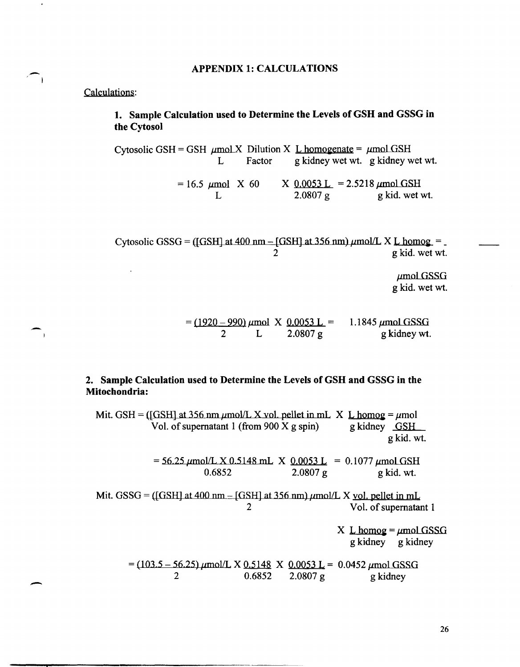#### APPENDIX 1: CALCULATIONS

# Calculations:

 $\overline{\phantom{0}}$ 

 $\rightarrow$ 

-

# 1. Sample Calculation used to Determine the Levels of GSH and GSSG in the Cytosol

Cytosolic GSH = GSH  $\mu$ mol X Dilution X L homogenate =  $\mu$ mol GSH<br>L Factor g kidney wet wt. g kidney w g kidney wet wt. g kidney wet wt.  $= 16.5 \text{ \mu mol}$  X 60 L  $X \left(0.0053 L\right) = 2.5218 \mu mol GSH$  $2.0807$  g kid. wet wt.

Cytosolic GSSG = ([GSH] at 400 nm  $-[GSH]$  at 356 nm)  $\mu$ mol/L X L homog = 2 g kid. wet wt.

> $\mu$ mol GSSG g kid. wet wt.

|  | $= (1920 - 990) \mu$ mol X 0.0053 L = | 1.1845 $\mu$ mol GSSG |
|--|---------------------------------------|-----------------------|
|  | $2.0807$ g                            | g kidney wt.          |

# 2. Sample Calculation used to Determine the Levels of GSH and GSSG in the Mitochondria:

Mit. GSH = ([GSH] at 356 nm  $\mu$ mol/L X vol. pellet in mL X L homog =  $\mu$ mol Vol. of supernatant 1 (from 900 X g spin) g kidney  $GSH$ gkid. wt.  $= 56.25 \mu$ mol/LX 0.5148 mL X 0.0053 L = 0.1077  $\mu$ mol GSH 0.6852 2.0807 g kid. wt. Mit. GSSG = ([GSH] at 400 nm  $-[GSH]$  at 356 nm)  $\mu$ mol/L X vol. pellet in mL 2 Vol. of supernatant 1

> X L homog =  $\mu$ mol GSSG g kidney g kidney

 $= (103.5 - 56.25) \mu$ mol/L X 0.5148 X 0.0053 L = 0.0452  $\mu$ mol GSSG 2 0.6852 2.0807 g kidney